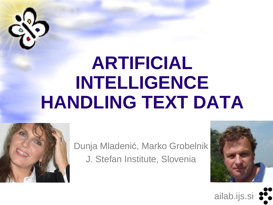

# **ARTIFICIAL INTELLIGENCE HANDLING TEXT DATA**



Dunja Mladenić, Marko Grobelnik J. Stefan Institute, Slovenia



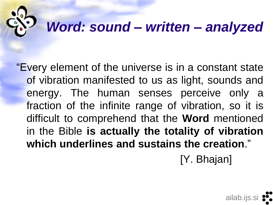#### *Word: sound – written – analyzed*

"Every element of the universe is in a constant state of vibration manifested to us as light, sounds and energy. The human senses perceive only a fraction of the infinite range of vibration, so it is difficult to comprehend that the **Word** mentioned in the Bible **is actually the totality of vibration which underlines and sustains the creation**."

[Y. Bhajan]

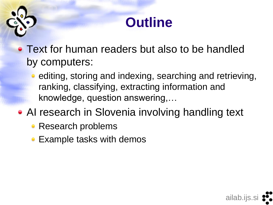#### **Outline**

• Text for human readers but also to be handled by computers:

• editing, storing and indexing, searching and retrieving, ranking, classifying, extracting information and knowledge, question answering,…

ailab.ijs.si

- AI research in Slovenia involving handling text
	- Research problems
	- Example tasks with demos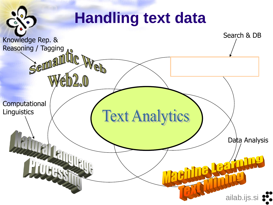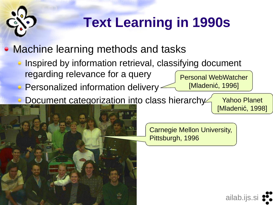## **Text Learning in 1990s**

• Machine learning methods and tasks

- Inspired by information retrieval, classifying document regarding relevance for a query Personal WebWatcher
- **Personalized information delivery**
- Document categorization into class hierarchy

Yahoo Planet [Mladenić, 1998]

Carnegie Mellon University, Pittsburgh, 1996

[Mladenić, 1996]

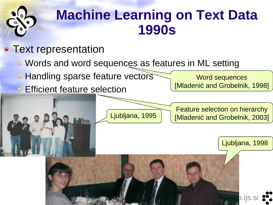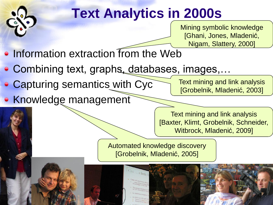

## **Text Analytics in 2000s**

Mining symbolic knowledge [Ghani, Jones, Mladenić, Nigam, Slattery, 2000]

- $\bullet$  Information extraction from the Web
- Combining text, graphs, databases, images,...
- Capturing semantics with Cyc
- Knowledge management

Text mining and link analysis [Grobelnik, Mladenić, 2003]

Text mining and link analysis [Baxter, Klimt, Grobelnik, Schneider, Witbrock, Mladenić, 2009]

Automated knowledge discovery [Grobelnik, Mladenić, 2005]

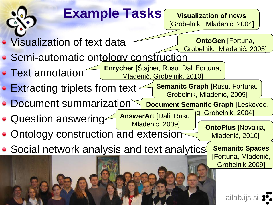### **Example Tasks**

#### **Visualization of news** [Grobelnik, Mladenić, 2004]

• Visualization of text data

**OntoGen** [Fortuna, Grobelnik, Mladenić, 2005]

- Semi-automatic ontology construction
- Text annotation **Enrycher** [Štajner, Rusu, Dali,Fortuna, Mladenić, Grobelnik, 2010]
- Extracting triplets from text **Semanitc Graph** [Rusu, Fortuna, Grobelnik, Mladenić, 2009]

Document summarization **Document Semanitc Graph [Leskovec,** <u>g, Grobelnik, 2004]</u>

- Question answering **AnswerArt** [Dali, Rusu, Mladenić, 2009]
- Ontology construction and extension
- Social network analysis and text analytics

**OntoPlus** [Novalija, Mladenić, 2010]

> **Semanitc Spaces**  [Fortuna, Mladenić, Grobelnik 2009]

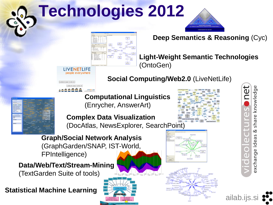# **Technologies 2012**





**Deep Semantics & Reasoning** (Cyc)

**Light-Weight Semantic Technologies** (OntoGen)

**Social Computing/Web2.0** (LiveNetLife)

**Computational Linguistics**  (Enrycher, AnswerArt)

**Complex Data Visualization**  (DocAtlas, NewsExplorer, SearchPoint)

**Graph/Social Network Analysis**  (GraphGarden/SNAP, IST-World, FPIntelligence)

**Data/Web/Text/Stream-Mining**

(TextGarden Suite of tools)

**Statistical Machine Learning**







share knowledge త ideas exchange

ailab.ijs.si